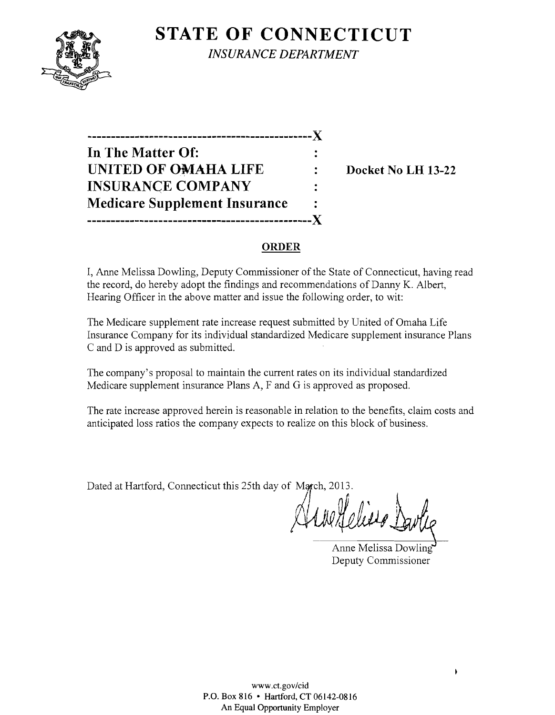

**STATE OF CONNECTICUT** *INSURANCE DEPARTMENT* 

**-----------------------------------------------)( In The Matter Of: UNITED OF OMAHA LIFE : Docket No LH 13-22 INSURANCE COMPANY Medicare Supplement Insurance -----------------------------------------------)(** 

# **ORDER**

I, Anne Melissa Dowling, Deputy Commissioner of the State of Connecticut, having read the record, do hereby adopt the findings and recommendations of Danny K. Albert, Hearing Officer in the above matter and issue the following order, to wit:

The Medicare supplement rate increase request submitted by United of Omaha Life Insurance Company for its individual standardized Medicare supplement insurance Plans C and D is approved as submitted.

The company's proposal to maintain the current rates on its individual standardized Medicare supplement insurance Plans A, F and G is approved as proposed.

The rate increase approved herein is reasonable in relation to the benefits, claim costs and anticipated loss ratios the company expects to realize on this block of business.

Dated at Hartford, Connecticut this 25th day of March, 2013.

Melisso)

Anne Melissa Dowling Deputy Commissioner

 $\pmb{\ast}$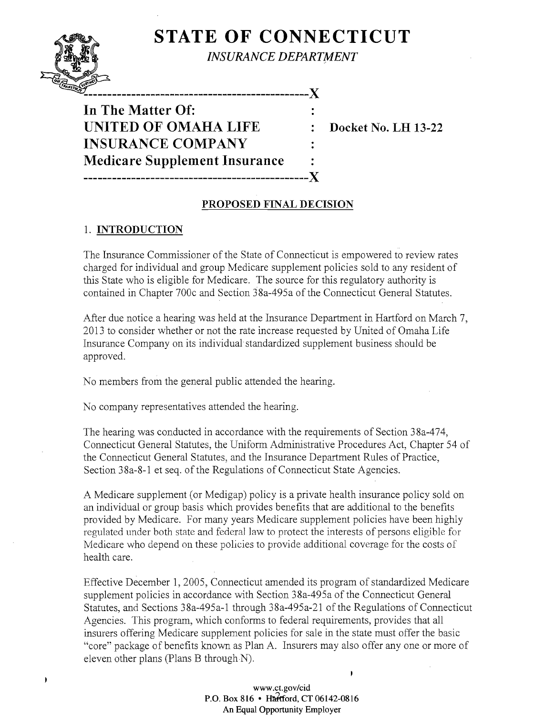# **STATE OF CONNECTICUT**



j.

*INSURANCE DEPARTMENT* 

**In** The Matter Of: UNITED OF OMAHA LIFE : Docket No. LH 13-22 INSURANCE COMPANY Medicare Supplement Insurance -----------------------------------------------J(

# PROPOSED FINAL DECISION

### 1. INTRODUCTION

The Insurance Commissioner of the State of Connecticut is empowered to review rates charged for individual and group Medicare supplement policies sold to any resident of this State who is eligible for Medicare. The source for this regulatory authority is contained in Chapter 700c and Section 38a-495a of the Connecticut General Statutes.

After due notice a hearing was held at the Insurance Department in Hartford on March 7, 2013 to consider whether or not the rate increase requested by United of Omaha Life Insurance Company on its individual standardized supplement business should be approved.

No members from the general public attended the hearing.

No company representatives attended the hearing.

The hearing was conducted in accordance with the requirements of Section 38a-474, Connecticut General Statutes, the Uniform Administrative Procedures Act, Chapter 54 of the Connecticut General Statutes, and the Insurance Department Rules of Practice, Section 38a-8-1 et seq. of the Regulations of Connecticut State Agencies.

A Medicare supplement (or Medigap) policy is a private health insurance policy sold on an individual or group basis which provides benefits that are additional to the benefits provided by Medicare. For many years Medicare supplement policies have been highly regulated under both state and federal law to protect the interests of persons eligible for Medicare who depend on these policies to provide additional coverage for the costs of health care.

Effective December 1,2005, Connecticut amended its program of standardized Medicare supplement policies in accordance with Section 38a-495a of the Connecticut General Statutes, and Sections 38a-495a-1 through 38a-495a-21 of the Regulations of Connecticut Agencies. This program, which conforms to federal requirements, provides that all insurers offering Medicare supplement policies for sale in the state must offer the basic "core" package of benefits known as Plan A. Insurers may also offer anyone or more of eleven other plans (Plans B through  $N$ ).

#### www.ct.gov/cid P.O. Box 816 • Hartford, CT 06142-0816 An Equal Opportunity Employer

 $\mathbf{r}$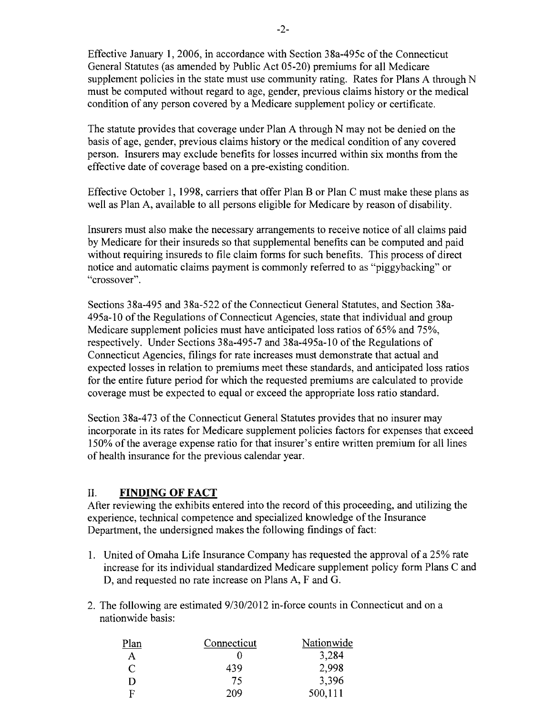Effective January 1, 2006, in accordance with Section 38a-495c of the Connecticut General Statutes (as amended by Public Act 05-20) premiums for all Medicare supplement policies in the state must use community rating. Rates for Plans A through N must be computed without regard to age, gender, previous claims history or the medical condition of any person covered by a Medicare supplement policy or certificate.

The statute provides that coverage under Plan A through N may not be denied on the basis of age, gender, previous claims history or the medical condition of any covered person. Insurers may exclude benefits for losses incurred within six months from the effective date of coverage based on a pre-existing condition.

Effective October 1, 1998, carriers that offer Plan B or Plan C must make these plans as well as Plan A, available to all persons eligible for Medicare by reason of disability.

Insurers must also make the necessary arrangements to receive notice of all claims paid by Medicare for their insureds so that supplemental benefits can be computed and paid without requiring insureds to file claim forms for such benefits. This process of direct notice and automatic claims payment is commonly referred to as "piggybacking" or "crossover".

Sections 38a-495 and 38a-522 of the Connecticut General Statutes, and Section 38a-495a-l0 ofthe Regulations ofConnecticut Agencies, state that individual and group Medicare supplement policies must have anticipated loss ratios of 65% and 75%, respectively. Under Sections 38a-495-7 and 38a-495a-l0 of the Regulations of Connecticut Agencies, filings for rate increases must demonstrate that actual and expected losses in relation to premiums meet these standards, and anticipated loss ratios for the entire future period for which the requested premiums are calculated to provide coverage must be expected to equal or exceed the appropriate loss ratio standard.

Section 38a-473 of the Connecticut General Statutes provides that no insurer may incorporate in its rates for Medicare supplement policies factors for expenses that exceed 150% ofthe average expense ratio for that insurer's entire written premium for all lines of health insurance for the previous calendar year.

## II. **FINDING OF FACT**

After reviewing the exhibits entered into the record of this proceeding, and utilizing the experience, technical competence and specialized knowledge of the Insurance Department, the undersigned makes the following findings of fact:

- 1. United of Omaha Life Insurance Company has requested the approval of a 25% rate increase for its individual standardized Medicare supplement policy form Plans C and D, and requested no rate increase on Plans A, F and G.
- 2. The following are estimated  $9/30/2012$  in-force counts in Connecticut and on a nationwide basis:

| Plan         | Connecticut | Nationwide |
|--------------|-------------|------------|
| Α            |             | 3,284      |
| C            | 439         | 2,998      |
| $\mathsf{D}$ | 75          | 3,396      |
| F            | 209         | 500,111    |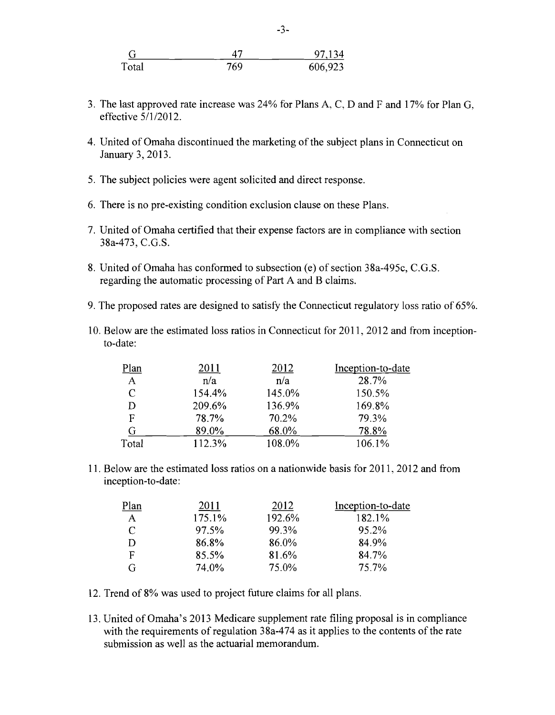|       |     | 97,134  |
|-------|-----|---------|
| Total | 769 | 606,923 |

- 3. The last approved rate increase was 24% for Plans A, C, D and F and 17% for Plan G, effective 5/1/2012.
- 4. United of Omaha discontinued the marketing of the subject plans in Connecticut on January 3, 2013.
- 5. The subject policies were agent solicited and direct response.
- 6. There is no pre-existing condition exclusion clause on these Plans.
- 7. United of Omaha certified that their expense factors are in compliance with section 38a-473, C.G.S.
- 8. United of Omaha has conformed to subsection (e) of section 38a-495c, C.G.S. regarding the automatic processing of Part A and B claims.
- 9. The proposed rates are designed to satisfy the Connecticut regulatory loss ratio of 65%.
- 10. Below are the estimated loss ratios in Connecticut for 2011,2012 and from inceptionto-date:

| Plan         | 2011   | 2012   | Inception-to-date |
|--------------|--------|--------|-------------------|
| A            | n/a    | n/a    | 28.7%             |
| $\mathsf{C}$ | 154.4% | 145.0% | 150.5%            |
| D            | 209.6% | 136.9% | 169.8%            |
| F            | 78.7%  | 70.2%  | 79.3%             |
| G            | 89.0%  | 68.0%  | 78.8%             |
| Total        | 112.3% | 108.0% | 106.1%            |

11. Below are the estimated loss ratios on a nationwide basis for 2011, 2012 and from inception-to-date:

| Plan | 2011   | 2012   | Inception-to-date |
|------|--------|--------|-------------------|
| A    | 175.1% | 192.6% | 182.1%            |
| C    | 97.5%  | 99.3%  | 95.2%             |
| D    | 86.8%  | 86.0%  | 84.9%             |
| F    | 85.5%  | 81.6%  | 84.7%             |
| G    | 74.0%  | 75.0%  | 75.7%             |

- 12. Trend of 8% was used to project future claims for all plans.
- 13. United of Omaha's 2013 Medicare supplement rate filing proposal is in compliance with the requirements of regulation 38a-474 as it applies to the contents of the rate submission as well as the actuarial memorandum.